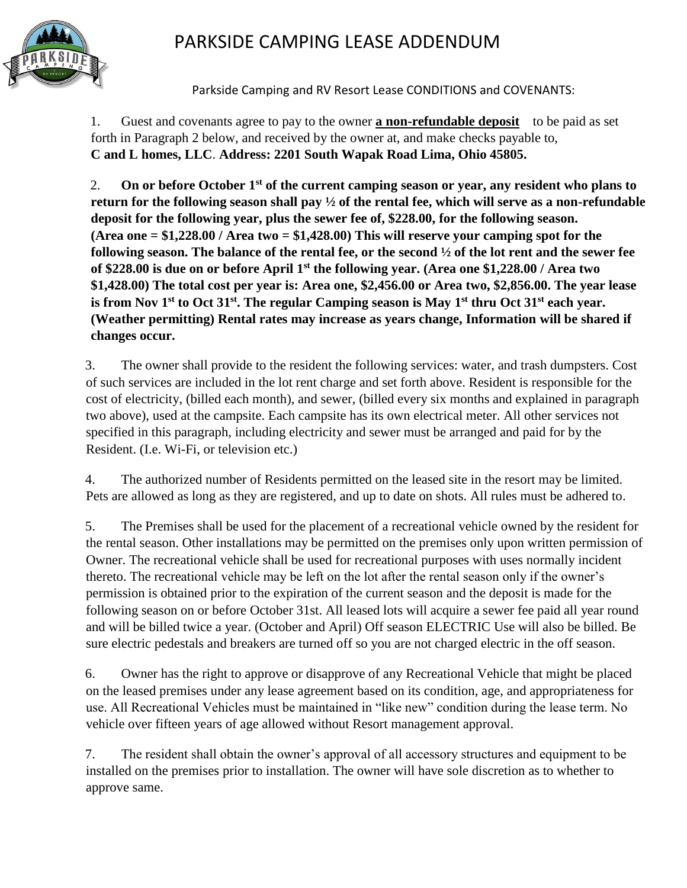

Parkside Camping and RV Resort Lease CONDITIONS and COVENANTS:

1. Guest and covenants agree to pay to the owner **a non-refundable deposit** to be paid as set forth in Paragraph 2 below, and received by the owner at, and make checks payable to, **C and L homes, LLC**. **Address: 2201 South Wapak Road Lima, Ohio 45805.**

2. **On or before October 1st of the current camping season or year, any resident who plans to return for the following season shall pay ½ of the rental fee, which will serve as a non-refundable deposit for the following year, plus the sewer fee of, \$228.00, for the following season. (Area one = \$1,228.00 / Area two = \$1,428.00) This will reserve your camping spot for the following season. The balance of the rental fee, or the second ½ of the lot rent and the sewer fee of \$228.00 is due on or before April 1st the following year. (Area one \$1,228.00 / Area two \$1,428.00) The total cost per year is: Area one, \$2,456.00 or Area two, \$2,856.00. The year lease**  is from Nov 1<sup>st</sup> to Oct 31<sup>st</sup>. The regular Camping season is May 1<sup>st</sup> thru Oct 31<sup>st</sup> each year. **(Weather permitting) Rental rates may increase as years change, Information will be shared if changes occur.**

3. The owner shall provide to the resident the following services: water, and trash dumpsters. Cost of such services are included in the lot rent charge and set forth above. Resident is responsible for the cost of electricity, (billed each month), and sewer, (billed every six months and explained in paragraph two above), used at the campsite. Each campsite has its own electrical meter. All other services not specified in this paragraph, including electricity and sewer must be arranged and paid for by the Resident. (I.e. Wi-Fi, or television etc.)

4. The authorized number of Residents permitted on the leased site in the resort may be limited. Pets are allowed as long as they are registered, and up to date on shots. All rules must be adhered to.

5. The Premises shall be used for the placement of a recreational vehicle owned by the resident for the rental season. Other installations may be permitted on the premises only upon written permission of Owner. The recreational vehicle shall be used for recreational purposes with uses normally incident thereto. The recreational vehicle may be left on the lot after the rental season only if the owner's permission is obtained prior to the expiration of the current season and the deposit is made for the following season on or before October 31st. All leased lots will acquire a sewer fee paid all year round and will be billed twice a year. (October and April) Off season ELECTRIC Use will also be billed. Be sure electric pedestals and breakers are turned off so you are not charged electric in the off season.

6. Owner has the right to approve or disapprove of any Recreational Vehicle that might be placed on the leased premises under any lease agreement based on its condition, age, and appropriateness for use. All Recreational Vehicles must be maintained in "like new" condition during the lease term. No vehicle over fifteen years of age allowed without Resort management approval.

7. The resident shall obtain the owner's approval of all accessory structures and equipment to be installed on the premises prior to installation. The owner will have sole discretion as to whether to approve same.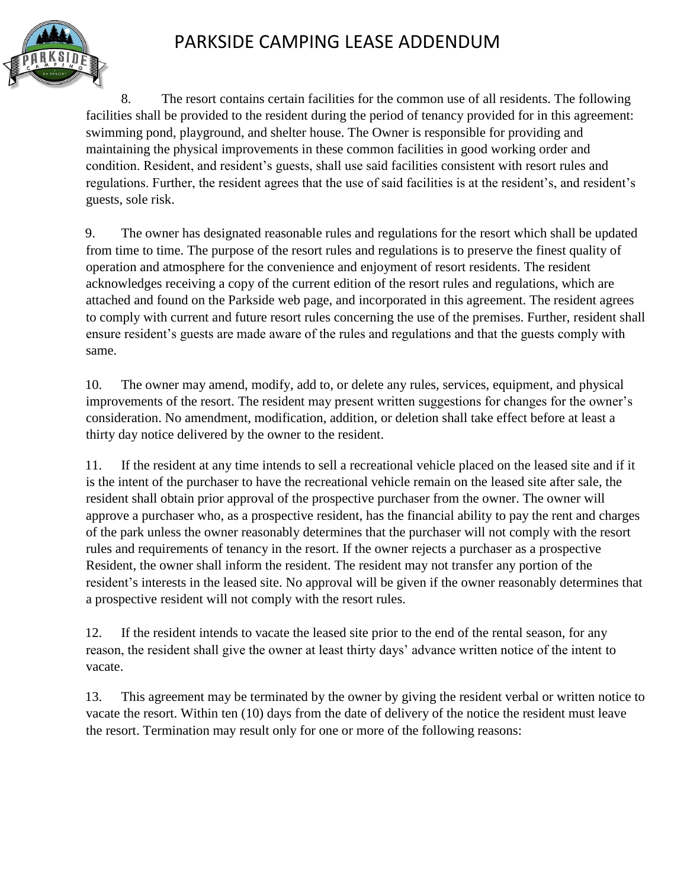

8. The resort contains certain facilities for the common use of all residents. The following facilities shall be provided to the resident during the period of tenancy provided for in this agreement: swimming pond, playground, and shelter house. The Owner is responsible for providing and maintaining the physical improvements in these common facilities in good working order and condition. Resident, and resident's guests, shall use said facilities consistent with resort rules and regulations. Further, the resident agrees that the use of said facilities is at the resident's, and resident's guests, sole risk.

9. The owner has designated reasonable rules and regulations for the resort which shall be updated from time to time. The purpose of the resort rules and regulations is to preserve the finest quality of operation and atmosphere for the convenience and enjoyment of resort residents. The resident acknowledges receiving a copy of the current edition of the resort rules and regulations, which are attached and found on the Parkside web page, and incorporated in this agreement. The resident agrees to comply with current and future resort rules concerning the use of the premises. Further, resident shall ensure resident's guests are made aware of the rules and regulations and that the guests comply with same.

10. The owner may amend, modify, add to, or delete any rules, services, equipment, and physical improvements of the resort. The resident may present written suggestions for changes for the owner's consideration. No amendment, modification, addition, or deletion shall take effect before at least a thirty day notice delivered by the owner to the resident.

11. If the resident at any time intends to sell a recreational vehicle placed on the leased site and if it is the intent of the purchaser to have the recreational vehicle remain on the leased site after sale, the resident shall obtain prior approval of the prospective purchaser from the owner. The owner will approve a purchaser who, as a prospective resident, has the financial ability to pay the rent and charges of the park unless the owner reasonably determines that the purchaser will not comply with the resort rules and requirements of tenancy in the resort. If the owner rejects a purchaser as a prospective Resident, the owner shall inform the resident. The resident may not transfer any portion of the resident's interests in the leased site. No approval will be given if the owner reasonably determines that a prospective resident will not comply with the resort rules.

12. If the resident intends to vacate the leased site prior to the end of the rental season, for any reason, the resident shall give the owner at least thirty days' advance written notice of the intent to vacate.

13. This agreement may be terminated by the owner by giving the resident verbal or written notice to vacate the resort. Within ten (10) days from the date of delivery of the notice the resident must leave the resort. Termination may result only for one or more of the following reasons: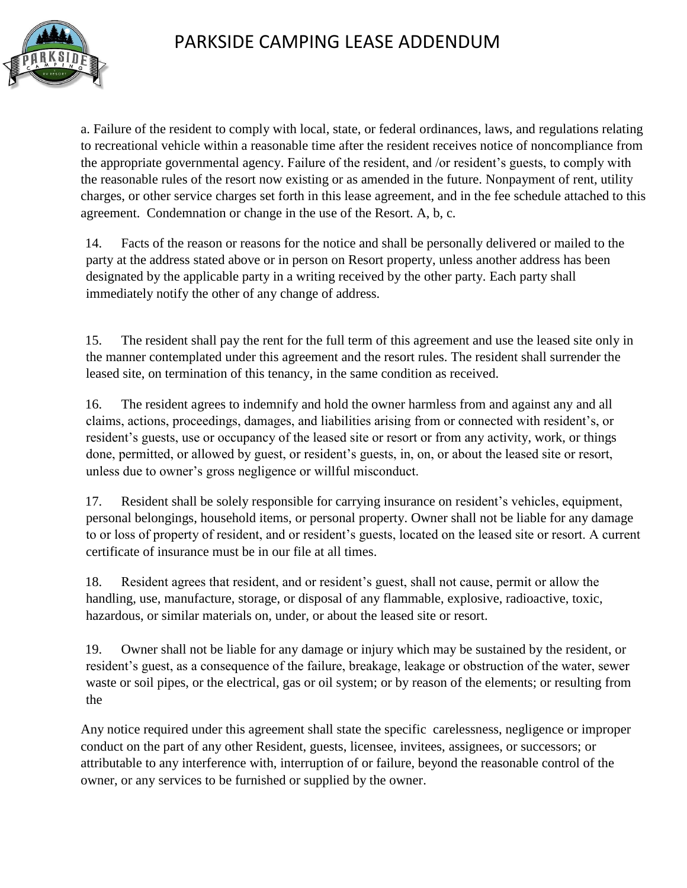

a. Failure of the resident to comply with local, state, or federal ordinances, laws, and regulations relating to recreational vehicle within a reasonable time after the resident receives notice of noncompliance from the appropriate governmental agency. Failure of the resident, and /or resident's guests, to comply with the reasonable rules of the resort now existing or as amended in the future. Nonpayment of rent, utility charges, or other service charges set forth in this lease agreement, and in the fee schedule attached to this agreement. Condemnation or change in the use of the Resort. A, b, c.

14. Facts of the reason or reasons for the notice and shall be personally delivered or mailed to the party at the address stated above or in person on Resort property, unless another address has been designated by the applicable party in a writing received by the other party. Each party shall immediately notify the other of any change of address.

15. The resident shall pay the rent for the full term of this agreement and use the leased site only in the manner contemplated under this agreement and the resort rules. The resident shall surrender the leased site, on termination of this tenancy, in the same condition as received.

16. The resident agrees to indemnify and hold the owner harmless from and against any and all claims, actions, proceedings, damages, and liabilities arising from or connected with resident's, or resident's guests, use or occupancy of the leased site or resort or from any activity, work, or things done, permitted, or allowed by guest, or resident's guests, in, on, or about the leased site or resort, unless due to owner's gross negligence or willful misconduct.

17. Resident shall be solely responsible for carrying insurance on resident's vehicles, equipment, personal belongings, household items, or personal property. Owner shall not be liable for any damage to or loss of property of resident, and or resident's guests, located on the leased site or resort. A current certificate of insurance must be in our file at all times.

18. Resident agrees that resident, and or resident's guest, shall not cause, permit or allow the handling, use, manufacture, storage, or disposal of any flammable, explosive, radioactive, toxic, hazardous, or similar materials on, under, or about the leased site or resort.

19. Owner shall not be liable for any damage or injury which may be sustained by the resident, or resident's guest, as a consequence of the failure, breakage, leakage or obstruction of the water, sewer waste or soil pipes, or the electrical, gas or oil system; or by reason of the elements; or resulting from the

Any notice required under this agreement shall state the specific carelessness, negligence or improper conduct on the part of any other Resident, guests, licensee, invitees, assignees, or successors; or attributable to any interference with, interruption of or failure, beyond the reasonable control of the owner, or any services to be furnished or supplied by the owner.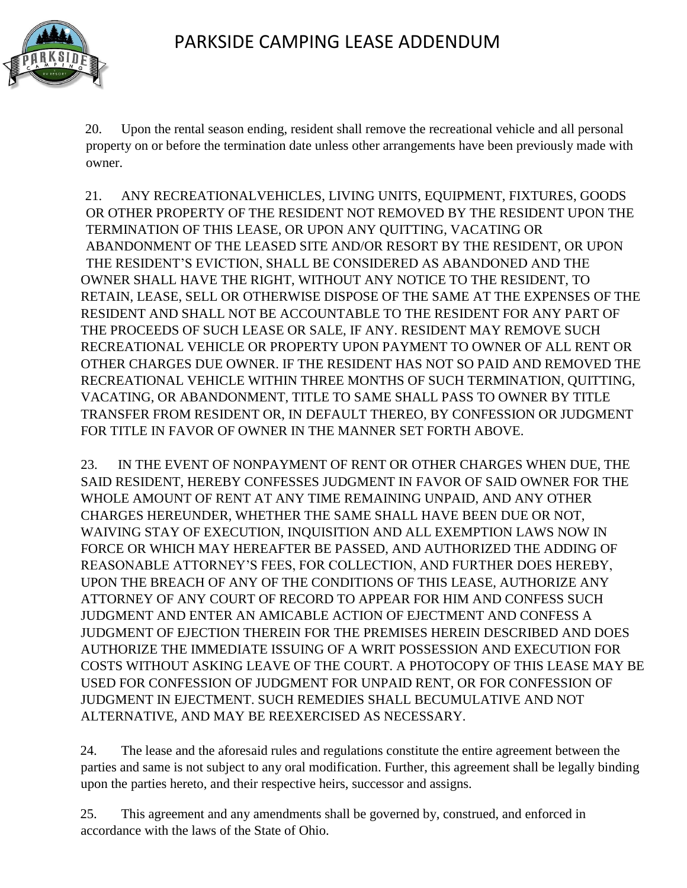

20. Upon the rental season ending, resident shall remove the recreational vehicle and all personal property on or before the termination date unless other arrangements have been previously made with owner.

21. ANY RECREATIONALVEHICLES, LIVING UNITS, EQUIPMENT, FIXTURES, GOODS OR OTHER PROPERTY OF THE RESIDENT NOT REMOVED BY THE RESIDENT UPON THE TERMINATION OF THIS LEASE, OR UPON ANY QUITTING, VACATING OR ABANDONMENT OF THE LEASED SITE AND/OR RESORT BY THE RESIDENT, OR UPON THE RESIDENT'S EVICTION, SHALL BE CONSIDERED AS ABANDONED AND THE OWNER SHALL HAVE THE RIGHT, WITHOUT ANY NOTICE TO THE RESIDENT, TO RETAIN, LEASE, SELL OR OTHERWISE DISPOSE OF THE SAME AT THE EXPENSES OF THE RESIDENT AND SHALL NOT BE ACCOUNTABLE TO THE RESIDENT FOR ANY PART OF THE PROCEEDS OF SUCH LEASE OR SALE, IF ANY. RESIDENT MAY REMOVE SUCH RECREATIONAL VEHICLE OR PROPERTY UPON PAYMENT TO OWNER OF ALL RENT OR OTHER CHARGES DUE OWNER. IF THE RESIDENT HAS NOT SO PAID AND REMOVED THE RECREATIONAL VEHICLE WITHIN THREE MONTHS OF SUCH TERMINATION, QUITTING, VACATING, OR ABANDONMENT, TITLE TO SAME SHALL PASS TO OWNER BY TITLE TRANSFER FROM RESIDENT OR, IN DEFAULT THEREO, BY CONFESSION OR JUDGMENT FOR TITLE IN FAVOR OF OWNER IN THE MANNER SET FORTH ABOVE.

23. IN THE EVENT OF NONPAYMENT OF RENT OR OTHER CHARGES WHEN DUE, THE SAID RESIDENT, HEREBY CONFESSES JUDGMENT IN FAVOR OF SAID OWNER FOR THE WHOLE AMOUNT OF RENT AT ANY TIME REMAINING UNPAID, AND ANY OTHER CHARGES HEREUNDER, WHETHER THE SAME SHALL HAVE BEEN DUE OR NOT, WAIVING STAY OF EXECUTION, INQUISITION AND ALL EXEMPTION LAWS NOW IN FORCE OR WHICH MAY HEREAFTER BE PASSED, AND AUTHORIZED THE ADDING OF REASONABLE ATTORNEY'S FEES, FOR COLLECTION, AND FURTHER DOES HEREBY, UPON THE BREACH OF ANY OF THE CONDITIONS OF THIS LEASE, AUTHORIZE ANY ATTORNEY OF ANY COURT OF RECORD TO APPEAR FOR HIM AND CONFESS SUCH JUDGMENT AND ENTER AN AMICABLE ACTION OF EJECTMENT AND CONFESS A JUDGMENT OF EJECTION THEREIN FOR THE PREMISES HEREIN DESCRIBED AND DOES AUTHORIZE THE IMMEDIATE ISSUING OF A WRIT POSSESSION AND EXECUTION FOR COSTS WITHOUT ASKING LEAVE OF THE COURT. A PHOTOCOPY OF THIS LEASE MAY BE USED FOR CONFESSION OF JUDGMENT FOR UNPAID RENT, OR FOR CONFESSION OF JUDGMENT IN EJECTMENT. SUCH REMEDIES SHALL BECUMULATIVE AND NOT ALTERNATIVE, AND MAY BE REEXERCISED AS NECESSARY.

24. The lease and the aforesaid rules and regulations constitute the entire agreement between the parties and same is not subject to any oral modification. Further, this agreement shall be legally binding upon the parties hereto, and their respective heirs, successor and assigns.

25. This agreement and any amendments shall be governed by, construed, and enforced in accordance with the laws of the State of Ohio.